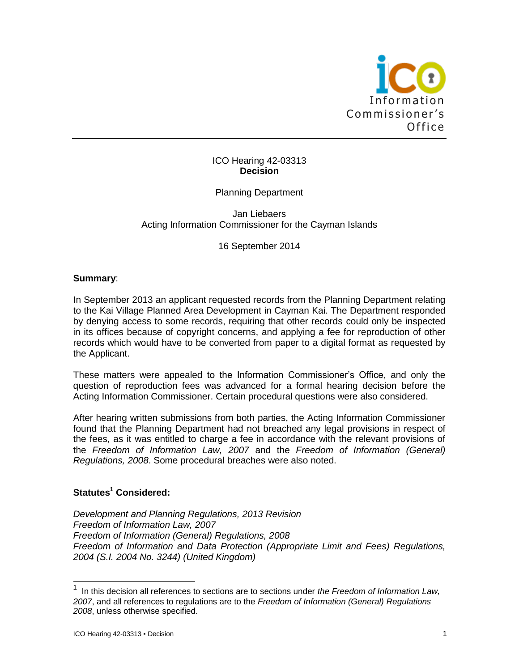

### ICO Hearing 42-03313 **Decision**

# Planning Department

### Jan Liebaers Acting Information Commissioner for the Cayman Islands

16 September 2014

### **Summary**:

In September 2013 an applicant requested records from the Planning Department relating to the Kai Village Planned Area Development in Cayman Kai. The Department responded by denying access to some records, requiring that other records could only be inspected in its offices because of copyright concerns, and applying a fee for reproduction of other records which would have to be converted from paper to a digital format as requested by the Applicant.

These matters were appealed to the Information Commissioner's Office, and only the question of reproduction fees was advanced for a formal hearing decision before the Acting Information Commissioner. Certain procedural questions were also considered.

After hearing written submissions from both parties, the Acting Information Commissioner found that the Planning Department had not breached any legal provisions in respect of the fees, as it was entitled to charge a fee in accordance with the relevant provisions of the *Freedom of Information Law, 2007* and the *Freedom of Information (General) Regulations, 2008*. Some procedural breaches were also noted.

# **Statutes<sup>1</sup> Considered:**

*Development and Planning Regulations, 2013 Revision Freedom of Information Law, 2007 Freedom of Information (General) Regulations, 2008 Freedom of Information and Data Protection (Appropriate Limit and Fees) Regulations, 2004 (S.I. 2004 No. 3244) (United Kingdom)*

l

<sup>1</sup> In this decision all references to sections are to sections under *the Freedom of Information Law, 2007*, and all references to regulations are to the *Freedom of Information (General) Regulations 2008*, unless otherwise specified.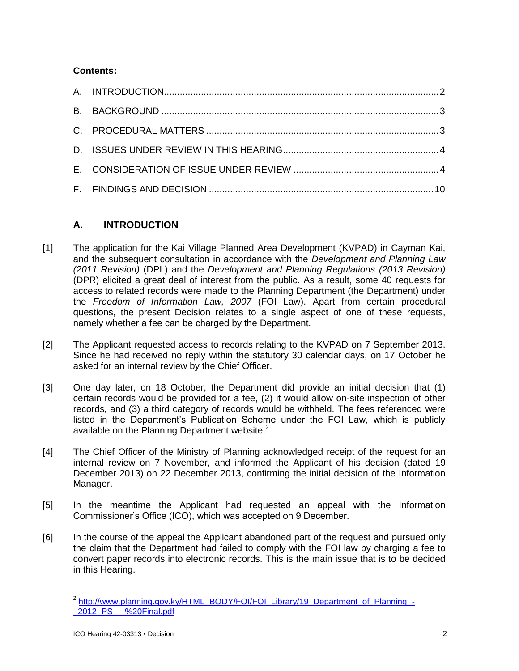# **Contents:**

# **A. INTRODUCTION**

- [1] The application for the Kai Village Planned Area Development (KVPAD) in Cayman Kai, and the subsequent consultation in accordance with the *Development and Planning Law (2011 Revision)* (DPL) and the *Development and Planning Regulations (2013 Revision)* (DPR) elicited a great deal of interest from the public. As a result, some 40 requests for access to related records were made to the Planning Department (the Department) under the *Freedom of Information Law, 2007* (FOI Law). Apart from certain procedural questions, the present Decision relates to a single aspect of one of these requests, namely whether a fee can be charged by the Department.
- [2] The Applicant requested access to records relating to the KVPAD on 7 September 2013. Since he had received no reply within the statutory 30 calendar days, on 17 October he asked for an internal review by the Chief Officer.
- [3] One day later, on 18 October, the Department did provide an initial decision that (1) certain records would be provided for a fee, (2) it would allow on-site inspection of other records, and (3) a third category of records would be withheld. The fees referenced were listed in the Department's Publication Scheme under the FOI Law, which is publicly available on the Planning Department website.<sup>2</sup>
- [4] The Chief Officer of the Ministry of Planning acknowledged receipt of the request for an internal review on 7 November, and informed the Applicant of his decision (dated 19 December 2013) on 22 December 2013, confirming the initial decision of the Information Manager.
- [5] In the meantime the Applicant had requested an appeal with the Information Commissioner's Office (ICO), which was accepted on 9 December.
- [6] In the course of the appeal the Applicant abandoned part of the request and pursued only the claim that the Department had failed to comply with the FOI law by charging a fee to convert paper records into electronic records. This is the main issue that is to be decided in this Hearing.

<sup>2&</sup>lt;br>Attp://www.planning.gov.ky/HTML\_BODY/FOI/FOI\_Library/19\_Department\_of\_Planning\_-[\\_2012\\_PS\\_-\\_%20Final.pdf](http://www.planning.gov.ky/HTML_BODY/FOI/FOI_Library/19_Department_of_Planning_-_2012_PS_-_%20Final.pdf)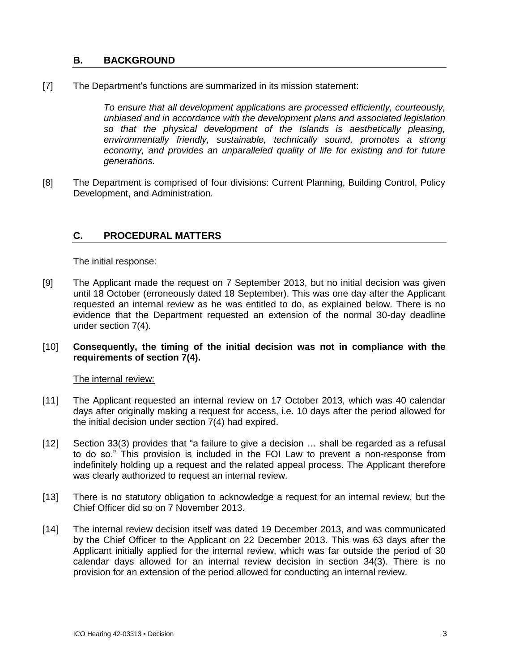# **B. BACKGROUND**

[7] The Department's functions are summarized in its mission statement:

*To ensure that all development applications are processed efficiently, courteously, unbiased and in accordance with the development plans and associated legislation so that the physical development of the Islands is aesthetically pleasing, environmentally friendly, sustainable, technically sound, promotes a strong economy, and provides an unparalleled quality of life for existing and for future generations.*

[8] The Department is comprised of four divisions: Current Planning, Building Control, Policy Development, and Administration.

# **C. PROCEDURAL MATTERS**

#### The initial response:

- [9] The Applicant made the request on 7 September 2013, but no initial decision was given until 18 October (erroneously dated 18 September). This was one day after the Applicant requested an internal review as he was entitled to do, as explained below. There is no evidence that the Department requested an extension of the normal 30-day deadline under section 7(4).
- [10] **Consequently, the timing of the initial decision was not in compliance with the requirements of section 7(4).**

### The internal review:

- [11] The Applicant requested an internal review on 17 October 2013, which was 40 calendar days after originally making a request for access, i.e. 10 days after the period allowed for the initial decision under section 7(4) had expired.
- [12] Section 33(3) provides that "a failure to give a decision … shall be regarded as a refusal to do so." This provision is included in the FOI Law to prevent a non-response from indefinitely holding up a request and the related appeal process. The Applicant therefore was clearly authorized to request an internal review.
- [13] There is no statutory obligation to acknowledge a request for an internal review, but the Chief Officer did so on 7 November 2013.
- [14] The internal review decision itself was dated 19 December 2013, and was communicated by the Chief Officer to the Applicant on 22 December 2013. This was 63 days after the Applicant initially applied for the internal review, which was far outside the period of 30 calendar days allowed for an internal review decision in section 34(3). There is no provision for an extension of the period allowed for conducting an internal review.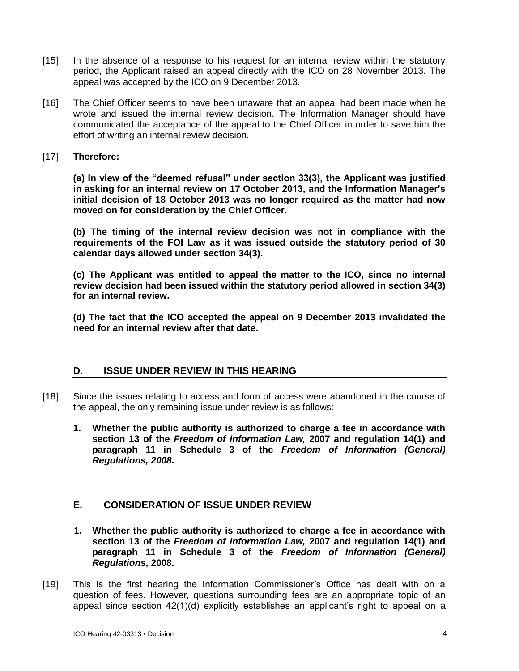- [15] In the absence of a response to his request for an internal review within the statutory period, the Applicant raised an appeal directly with the ICO on 28 November 2013. The appeal was accepted by the ICO on 9 December 2013.
- [16] The Chief Officer seems to have been unaware that an appeal had been made when he wrote and issued the internal review decision. The Information Manager should have communicated the acceptance of the appeal to the Chief Officer in order to save him the effort of writing an internal review decision.
- [17] **Therefore:**

**(a) In view of the "deemed refusal" under section 33(3), the Applicant was justified in asking for an internal review on 17 October 2013, and the Information Manager's initial decision of 18 October 2013 was no longer required as the matter had now moved on for consideration by the Chief Officer.**

**(b) The timing of the internal review decision was not in compliance with the requirements of the FOI Law as it was issued outside the statutory period of 30 calendar days allowed under section 34(3).**

**(c) The Applicant was entitled to appeal the matter to the ICO, since no internal review decision had been issued within the statutory period allowed in section 34(3) for an internal review.**

**(d) The fact that the ICO accepted the appeal on 9 December 2013 invalidated the need for an internal review after that date.**

# **D. ISSUE UNDER REVIEW IN THIS HEARING**

- [18] Since the issues relating to access and form of access were abandoned in the course of the appeal, the only remaining issue under review is as follows:
	- **1. Whether the public authority is authorized to charge a fee in accordance with section 13 of the** *Freedom of Information Law,* **2007 and regulation 14(1) and paragraph 11 in Schedule 3 of the** *Freedom of Information (General) Regulations, 2008***.**

# **E. CONSIDERATION OF ISSUE UNDER REVIEW**

- **1. Whether the public authority is authorized to charge a fee in accordance with section 13 of the** *Freedom of Information Law,* **2007 and regulation 14(1) and paragraph 11 in Schedule 3 of the** *Freedom of Information (General) Regulations***, 2008.**
- [19] This is the first hearing the Information Commissioner's Office has dealt with on a question of fees. However, questions surrounding fees are an appropriate topic of an appeal since section 42(1)(d) explicitly establishes an applicant's right to appeal on a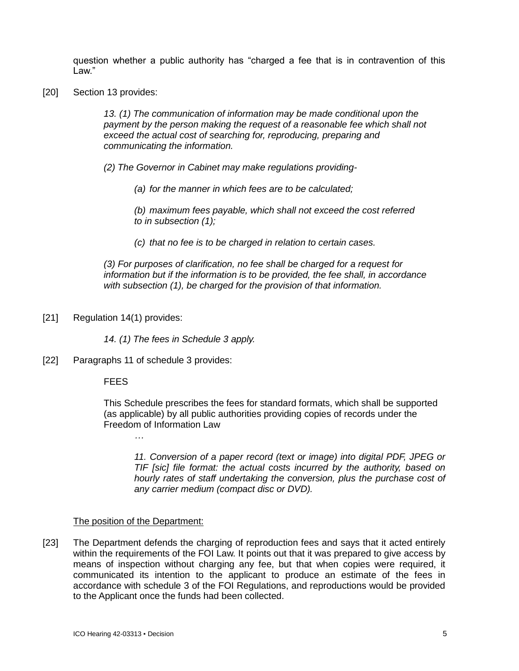question whether a public authority has "charged a fee that is in contravention of this Law."

[20] Section 13 provides:

*13. (1) The communication of information may be made conditional upon the payment by the person making the request of a reasonable fee which shall not exceed the actual cost of searching for, reproducing, preparing and communicating the information.*

*(2) The Governor in Cabinet may make regulations providing-*

*(a) for the manner in which fees are to be calculated;*

*(b) maximum fees payable, which shall not exceed the cost referred to in subsection (1);*

*(c) that no fee is to be charged in relation to certain cases.*

*(3) For purposes of clarification, no fee shall be charged for a request for information but if the information is to be provided, the fee shall, in accordance with subsection (1), be charged for the provision of that information.*

[21] Regulation 14(1) provides:

*14. (1) The fees in Schedule 3 apply.*

[22] Paragraphs 11 of schedule 3 provides:

**FEES** 

This Schedule prescribes the fees for standard formats, which shall be supported (as applicable) by all public authorities providing copies of records under the Freedom of Information Law

*…*

*11. Conversion of a paper record (text or image) into digital PDF, JPEG or TIF [sic] file format: the actual costs incurred by the authority, based on hourly rates of staff undertaking the conversion, plus the purchase cost of any carrier medium (compact disc or DVD).*

### The position of the Department:

[23] The Department defends the charging of reproduction fees and says that it acted entirely within the requirements of the FOI Law. It points out that it was prepared to give access by means of inspection without charging any fee, but that when copies were required, it communicated its intention to the applicant to produce an estimate of the fees in accordance with schedule 3 of the FOI Regulations, and reproductions would be provided to the Applicant once the funds had been collected.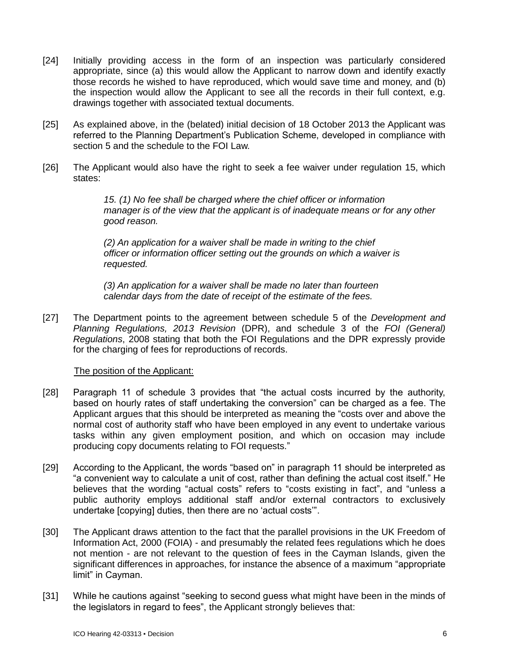- [24] Initially providing access in the form of an inspection was particularly considered appropriate, since (a) this would allow the Applicant to narrow down and identify exactly those records he wished to have reproduced, which would save time and money, and (b) the inspection would allow the Applicant to see all the records in their full context, e.g. drawings together with associated textual documents.
- [25] As explained above, in the (belated) initial decision of 18 October 2013 the Applicant was referred to the Planning Department's Publication Scheme, developed in compliance with section 5 and the schedule to the FOI Law.
- [26] The Applicant would also have the right to seek a fee waiver under regulation 15, which states:

*15. (1) No fee shall be charged where the chief officer or information manager is of the view that the applicant is of inadequate means or for any other good reason.*

*(2) An application for a waiver shall be made in writing to the chief officer or information officer setting out the grounds on which a waiver is requested.*

*(3) An application for a waiver shall be made no later than fourteen calendar days from the date of receipt of the estimate of the fees.*

[27] The Department points to the agreement between schedule 5 of the *Development and Planning Regulations, 2013 Revision* (DPR), and schedule 3 of the *FOI (General) Regulations*, 2008 stating that both the FOI Regulations and the DPR expressly provide for the charging of fees for reproductions of records.

### The position of the Applicant:

- [28] Paragraph 11 of schedule 3 provides that "the actual costs incurred by the authority, based on hourly rates of staff undertaking the conversion" can be charged as a fee. The Applicant argues that this should be interpreted as meaning the "costs over and above the normal cost of authority staff who have been employed in any event to undertake various tasks within any given employment position, and which on occasion may include producing copy documents relating to FOI requests."
- [29] According to the Applicant, the words "based on" in paragraph 11 should be interpreted as "a convenient way to calculate a unit of cost, rather than defining the actual cost itself." He believes that the wording "actual costs" refers to "costs existing in fact", and "unless a public authority employs additional staff and/or external contractors to exclusively undertake [copying] duties, then there are no 'actual costs'".
- [30] The Applicant draws attention to the fact that the parallel provisions in the UK Freedom of Information Act, 2000 (FOIA) - and presumably the related fees regulations which he does not mention - are not relevant to the question of fees in the Cayman Islands, given the significant differences in approaches, for instance the absence of a maximum "appropriate limit" in Cayman.
- [31] While he cautions against "seeking to second guess what might have been in the minds of the legislators in regard to fees", the Applicant strongly believes that: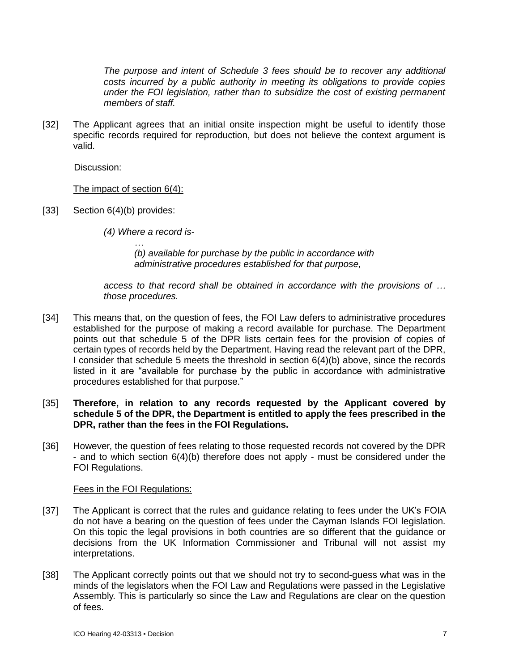*The purpose and intent of Schedule 3 fees should be to recover any additional costs incurred by a public authority in meeting its obligations to provide copies under the FOI legislation, rather than to subsidize the cost of existing permanent members of staff.*

[32] The Applicant agrees that an initial onsite inspection might be useful to identify those specific records required for reproduction, but does not believe the context argument is valid.

Discussion:

The impact of section 6(4):

- [33] Section 6(4)(b) provides:
	- *(4) Where a record is-*

*…*

*(b) available for purchase by the public in accordance with administrative procedures established for that purpose,*

*access to that record shall be obtained in accordance with the provisions of … those procedures.*

- [34] This means that, on the question of fees, the FOI Law defers to administrative procedures established for the purpose of making a record available for purchase. The Department points out that schedule 5 of the DPR lists certain fees for the provision of copies of certain types of records held by the Department. Having read the relevant part of the DPR, I consider that schedule 5 meets the threshold in section 6(4)(b) above, since the records listed in it are "available for purchase by the public in accordance with administrative procedures established for that purpose."
- [35] **Therefore, in relation to any records requested by the Applicant covered by schedule 5 of the DPR, the Department is entitled to apply the fees prescribed in the DPR, rather than the fees in the FOI Regulations.**
- [36] However, the question of fees relating to those requested records not covered by the DPR - and to which section 6(4)(b) therefore does not apply - must be considered under the FOI Regulations.

Fees in the FOI Regulations:

- [37] The Applicant is correct that the rules and guidance relating to fees under the UK's FOIA do not have a bearing on the question of fees under the Cayman Islands FOI legislation. On this topic the legal provisions in both countries are so different that the guidance or decisions from the UK Information Commissioner and Tribunal will not assist my interpretations.
- [38] The Applicant correctly points out that we should not try to second-guess what was in the minds of the legislators when the FOI Law and Regulations were passed in the Legislative Assembly. This is particularly so since the Law and Regulations are clear on the question of fees.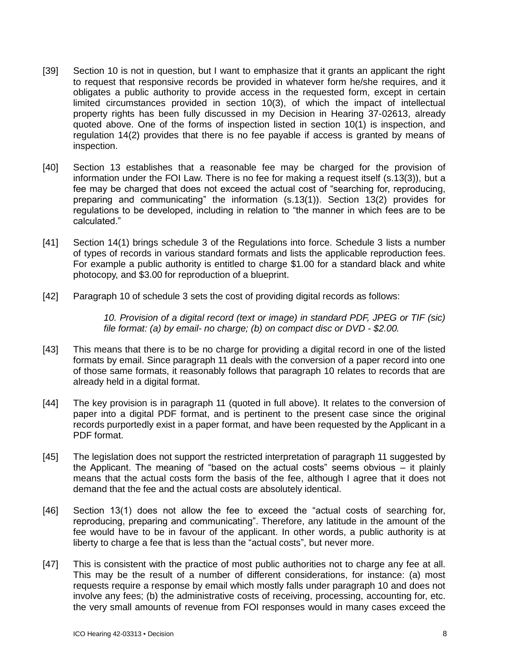- [39] Section 10 is not in question, but I want to emphasize that it grants an applicant the right to request that responsive records be provided in whatever form he/she requires, and it obligates a public authority to provide access in the requested form, except in certain limited circumstances provided in section 10(3), of which the impact of intellectual property rights has been fully discussed in my Decision in Hearing 37-02613, already quoted above. One of the forms of inspection listed in section 10(1) is inspection, and regulation 14(2) provides that there is no fee payable if access is granted by means of inspection.
- [40] Section 13 establishes that a reasonable fee may be charged for the provision of information under the FOI Law. There is no fee for making a request itself (s.13(3)), but a fee may be charged that does not exceed the actual cost of "searching for, reproducing, preparing and communicating" the information (s.13(1)). Section 13(2) provides for regulations to be developed, including in relation to "the manner in which fees are to be calculated."
- [41] Section 14(1) brings schedule 3 of the Regulations into force. Schedule 3 lists a number of types of records in various standard formats and lists the applicable reproduction fees. For example a public authority is entitled to charge \$1.00 for a standard black and white photocopy, and \$3.00 for reproduction of a blueprint.
- [42] Paragraph 10 of schedule 3 sets the cost of providing digital records as follows:

*10. Provision of a digital record (text or image) in standard PDF, JPEG or TIF (sic) file format: (a) by email- no charge; (b) on compact disc or DVD - \$2.00.*

- [43] This means that there is to be no charge for providing a digital record in one of the listed formats by email. Since paragraph 11 deals with the conversion of a paper record into one of those same formats, it reasonably follows that paragraph 10 relates to records that are already held in a digital format.
- [44] The key provision is in paragraph 11 (quoted in full above). It relates to the conversion of paper into a digital PDF format, and is pertinent to the present case since the original records purportedly exist in a paper format, and have been requested by the Applicant in a PDF format.
- [45] The legislation does not support the restricted interpretation of paragraph 11 suggested by the Applicant. The meaning of "based on the actual costs" seems obvious – it plainly means that the actual costs form the basis of the fee, although I agree that it does not demand that the fee and the actual costs are absolutely identical.
- [46] Section 13(1) does not allow the fee to exceed the "actual costs of searching for, reproducing, preparing and communicating". Therefore, any latitude in the amount of the fee would have to be in favour of the applicant. In other words, a public authority is at liberty to charge a fee that is less than the "actual costs", but never more.
- [47] This is consistent with the practice of most public authorities not to charge any fee at all. This may be the result of a number of different considerations, for instance: (a) most requests require a response by email which mostly falls under paragraph 10 and does not involve any fees; (b) the administrative costs of receiving, processing, accounting for, etc. the very small amounts of revenue from FOI responses would in many cases exceed the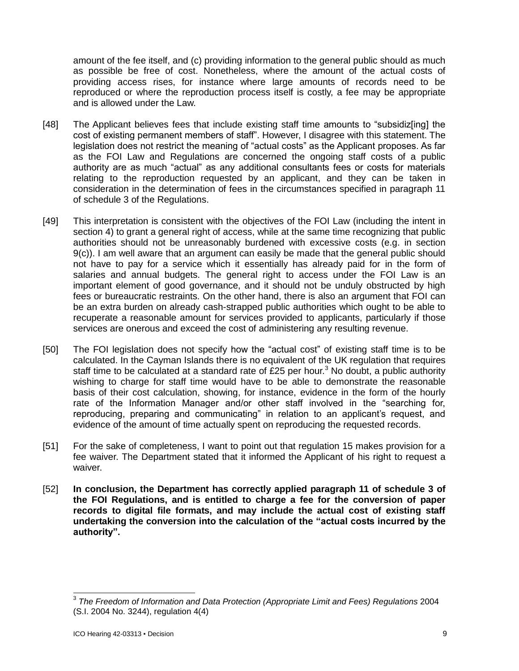amount of the fee itself, and (c) providing information to the general public should as much as possible be free of cost. Nonetheless, where the amount of the actual costs of providing access rises, for instance where large amounts of records need to be reproduced or where the reproduction process itself is costly, a fee may be appropriate and is allowed under the Law.

- [48] The Applicant believes fees that include existing staff time amounts to "subsidiz[ing] the cost of existing permanent members of staff". However, I disagree with this statement. The legislation does not restrict the meaning of "actual costs" as the Applicant proposes. As far as the FOI Law and Regulations are concerned the ongoing staff costs of a public authority are as much "actual" as any additional consultants fees or costs for materials relating to the reproduction requested by an applicant, and they can be taken in consideration in the determination of fees in the circumstances specified in paragraph 11 of schedule 3 of the Regulations.
- [49] This interpretation is consistent with the objectives of the FOI Law (including the intent in section 4) to grant a general right of access, while at the same time recognizing that public authorities should not be unreasonably burdened with excessive costs (e.g. in section 9(c)). I am well aware that an argument can easily be made that the general public should not have to pay for a service which it essentially has already paid for in the form of salaries and annual budgets. The general right to access under the FOI Law is an important element of good governance, and it should not be unduly obstructed by high fees or bureaucratic restraints. On the other hand, there is also an argument that FOI can be an extra burden on already cash-strapped public authorities which ought to be able to recuperate a reasonable amount for services provided to applicants, particularly if those services are onerous and exceed the cost of administering any resulting revenue.
- [50] The FOI legislation does not specify how the "actual cost" of existing staff time is to be calculated. In the Cayman Islands there is no equivalent of the UK regulation that requires staff time to be calculated at a standard rate of £25 per hour.<sup>3</sup> No doubt, a public authority wishing to charge for staff time would have to be able to demonstrate the reasonable basis of their cost calculation, showing, for instance, evidence in the form of the hourly rate of the Information Manager and/or other staff involved in the "searching for, reproducing, preparing and communicating" in relation to an applicant's request, and evidence of the amount of time actually spent on reproducing the requested records.
- [51] For the sake of completeness, I want to point out that regulation 15 makes provision for a fee waiver. The Department stated that it informed the Applicant of his right to request a waiver.
- [52] **In conclusion, the Department has correctly applied paragraph 11 of schedule 3 of the FOI Regulations, and is entitled to charge a fee for the conversion of paper records to digital file formats, and may include the actual cost of existing staff undertaking the conversion into the calculation of the "actual costs incurred by the authority".**

 3 *The Freedom of Information and Data Protection (Appropriate Limit and Fees) Regulations* 2004 (S.I. 2004 No. 3244), regulation 4(4)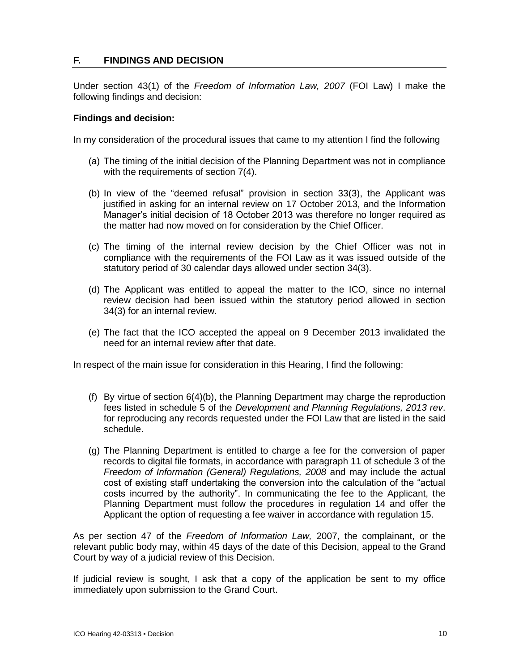# **F. FINDINGS AND DECISION**

Under section 43(1) of the *Freedom of Information Law, 2007* (FOI Law) I make the following findings and decision:

### **Findings and decision:**

In my consideration of the procedural issues that came to my attention I find the following

- (a) The timing of the initial decision of the Planning Department was not in compliance with the requirements of section 7(4).
- (b) In view of the "deemed refusal" provision in section 33(3), the Applicant was justified in asking for an internal review on 17 October 2013, and the Information Manager's initial decision of 18 October 2013 was therefore no longer required as the matter had now moved on for consideration by the Chief Officer.
- (c) The timing of the internal review decision by the Chief Officer was not in compliance with the requirements of the FOI Law as it was issued outside of the statutory period of 30 calendar days allowed under section 34(3).
- (d) The Applicant was entitled to appeal the matter to the ICO, since no internal review decision had been issued within the statutory period allowed in section 34(3) for an internal review.
- (e) The fact that the ICO accepted the appeal on 9 December 2013 invalidated the need for an internal review after that date.

In respect of the main issue for consideration in this Hearing, I find the following:

- (f) By virtue of section 6(4)(b), the Planning Department may charge the reproduction fees listed in schedule 5 of the *Development and Planning Regulations, 2013 rev*. for reproducing any records requested under the FOI Law that are listed in the said schedule.
- (g) The Planning Department is entitled to charge a fee for the conversion of paper records to digital file formats, in accordance with paragraph 11 of schedule 3 of the *Freedom of Information (General) Regulations, 2008* and may include the actual cost of existing staff undertaking the conversion into the calculation of the "actual costs incurred by the authority". In communicating the fee to the Applicant, the Planning Department must follow the procedures in regulation 14 and offer the Applicant the option of requesting a fee waiver in accordance with regulation 15.

As per section 47 of the *Freedom of Information Law,* 2007, the complainant, or the relevant public body may, within 45 days of the date of this Decision, appeal to the Grand Court by way of a judicial review of this Decision.

If judicial review is sought, I ask that a copy of the application be sent to my office immediately upon submission to the Grand Court.